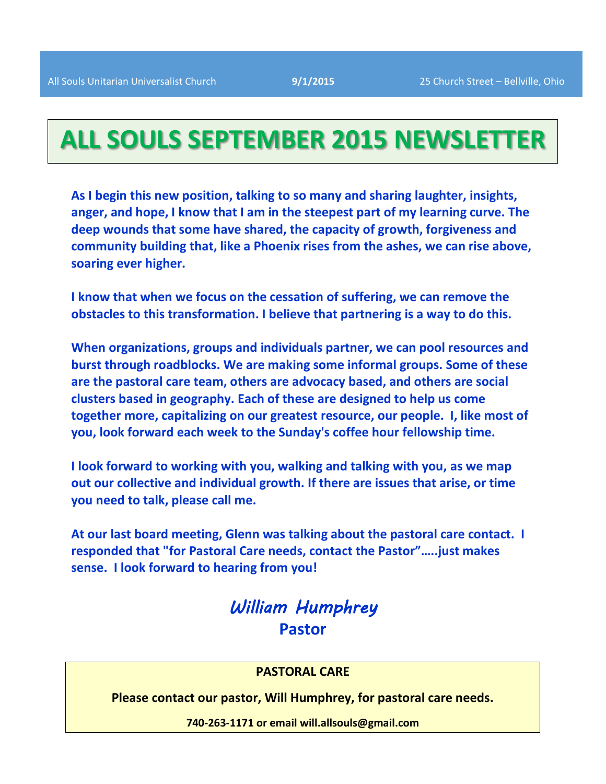## **ALL SOULS SEPTEMBER 2015 NEWSLETTER**

**As I begin this new position, talking to so many and sharing laughter, insights, anger, and hope, I know that I am in the steepest part of my learning curve. The deep wounds that some have shared, the capacity of growth, forgiveness and community building that, like a Phoenix rises from the ashes, we can rise above, soaring ever higher.** 

**I know that when we focus on the cessation of suffering, we can remove the obstacles to this transformation. I believe that partnering is a way to do this.**

**When organizations, groups and individuals partner, we can pool resources and burst through roadblocks. We are making some informal groups. Some of these are the pastoral care team, others are advocacy based, and others are social clusters based in geography. Each of these are designed to help us come together more, capitalizing on our greatest resource, our people. I, like most of you, look forward each week to the Sunday's coffee hour fellowship time.** 

**I look forward to working with you, walking and talking with you, as we map out our collective and individual growth. If there are issues that arise, or time you need to talk, please call me.**

**At our last board meeting, Glenn was talking about the pastoral care contact. I responded that "for Pastoral Care needs, contact the Pastor"…..just makes sense. I look forward to hearing from you!**

## William Humphrey **Pastor**

#### **PASTORAL CARE**

**Please contact our pastor, Will Humphrey, for pastoral care needs.**

**740-263-1171 or email will.allsouls@gmail.com**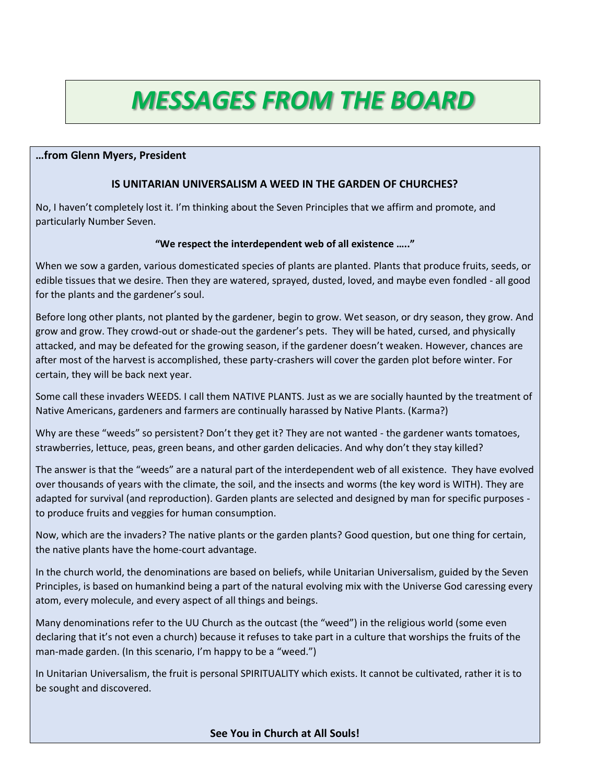# *MESSAGES FROM THE BOARD*

#### **…from Glenn Myers, President**

#### **IS UNITARIAN UNIVERSALISM A WEED IN THE GARDEN OF CHURCHES?**

No, I haven't completely lost it. I'm thinking about the Seven Principles that we affirm and promote, and particularly Number Seven.

#### **"We respect the interdependent web of all existence ….."**

When we sow a garden, various domesticated species of plants are planted. Plants that produce fruits, seeds, or edible tissues that we desire. Then they are watered, sprayed, dusted, loved, and maybe even fondled - all good for the plants and the gardener's soul.

Before long other plants, not planted by the gardener, begin to grow. Wet season, or dry season, they grow. And grow and grow. They crowd-out or shade-out the gardener's pets. They will be hated, cursed, and physically attacked, and may be defeated for the growing season, if the gardener doesn't weaken. However, chances are after most of the harvest is accomplished, these party-crashers will cover the garden plot before winter. For certain, they will be back next year.

Some call these invaders WEEDS. I call them NATIVE PLANTS. Just as we are socially haunted by the treatment of Native Americans, gardeners and farmers are continually harassed by Native Plants. (Karma?)

Why are these "weeds" so persistent? Don't they get it? They are not wanted - the gardener wants tomatoes, strawberries, lettuce, peas, green beans, and other garden delicacies. And why don't they stay killed?

The answer is that the "weeds" are a natural part of the interdependent web of all existence. They have evolved over thousands of years with the climate, the soil, and the insects and worms (the key word is WITH). They are adapted for survival (and reproduction). Garden plants are selected and designed by man for specific purposes to produce fruits and veggies for human consumption.

Now, which are the invaders? The native plants or the garden plants? Good question, but one thing for certain, the native plants have the home-court advantage.

In the church world, the denominations are based on beliefs, while Unitarian Universalism, guided by the Seven Principles, is based on humankind being a part of the natural evolving mix with the Universe God caressing every atom, every molecule, and every aspect of all things and beings.

Many denominations refer to the UU Church as the outcast (the "weed") in the religious world (some even declaring that it's not even a church) because it refuses to take part in a culture that worships the fruits of the man-made garden. (In this scenario, I'm happy to be a "weed.")

In Unitarian Universalism, the fruit is personal SPIRITUALITY which exists. It cannot be cultivated, rather it is to be sought and discovered.

**See You in Church at All Souls!**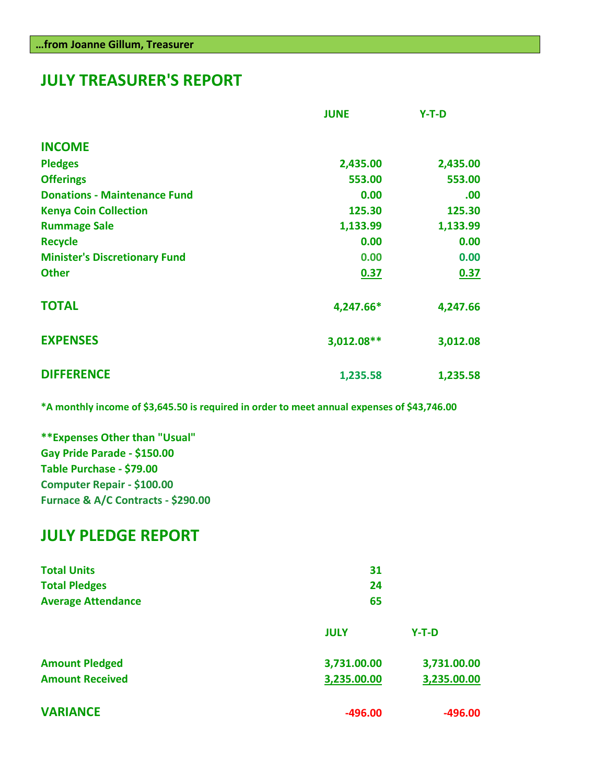## **JULY TREASURER'S REPORT**

|                                      | <b>JUNE</b> | $Y-T-D$  |
|--------------------------------------|-------------|----------|
| <b>INCOME</b>                        |             |          |
| <b>Pledges</b>                       | 2,435.00    | 2,435.00 |
| <b>Offerings</b>                     | 553.00      | 553.00   |
| <b>Donations - Maintenance Fund</b>  | 0.00        | .00      |
| <b>Kenya Coin Collection</b>         | 125.30      | 125.30   |
| <b>Rummage Sale</b>                  | 1,133.99    | 1,133.99 |
| <b>Recycle</b>                       | 0.00        | 0.00     |
| <b>Minister's Discretionary Fund</b> | 0.00        | 0.00     |
| <b>Other</b>                         | 0.37        | 0.37     |
| <b>TOTAL</b>                         | 4,247.66*   | 4,247.66 |
| <b>EXPENSES</b>                      | 3,012.08**  | 3,012.08 |
| <b>DIFFERENCE</b>                    | 1,235.58    | 1,235.58 |

**\*A monthly income of \$3,645.50 is required in order to meet annual expenses of \$43,746.00**

**\*\*Expenses Other than "Usual" Gay Pride Parade - \$150.00 Table Purchase - \$79.00 Computer Repair - \$100.00 Furnace & A/C Contracts - \$290.00**

### **JULY PLEDGE REPORT**

| <b>Total Units</b><br><b>Total Pledges</b> | 31<br>24    |             |
|--------------------------------------------|-------------|-------------|
| <b>Average Attendance</b>                  | 65          |             |
|                                            | <b>JULY</b> | $Y-T-D$     |
| <b>Amount Pledged</b>                      | 3,731.00.00 | 3,731.00.00 |
| <b>Amount Received</b>                     | 3,235.00.00 | 3,235.00.00 |
| <b>VARIANCE</b>                            | $-496.00$   | $-496.00$   |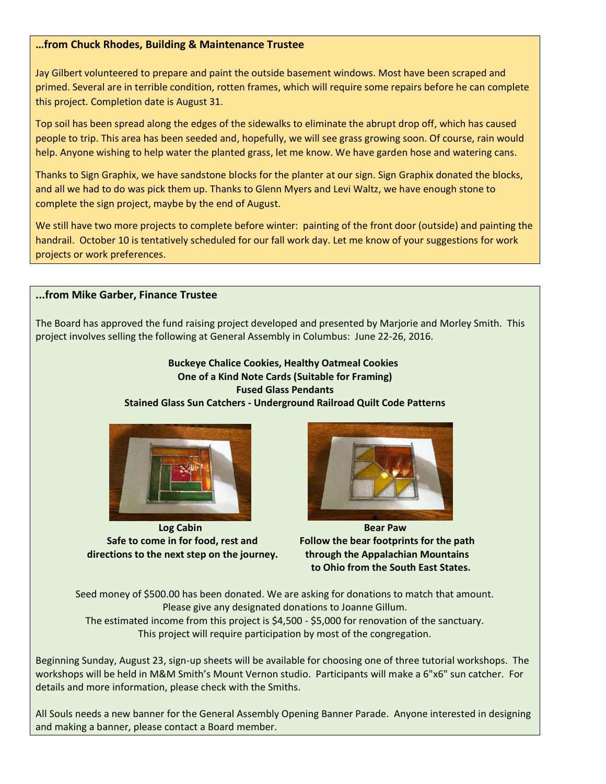#### **…from Chuck Rhodes, Building & Maintenance Trustee**

Jay Gilbert volunteered to prepare and paint the outside basement windows. Most have been scraped and primed. Several are in terrible condition, rotten frames, which will require some repairs before he can complete this project. Completion date is August 31.

Top soil has been spread along the edges of the sidewalks to eliminate the abrupt drop off, which has caused people to trip. This area has been seeded and, hopefully, we will see grass growing soon. Of course, rain would help. Anyone wishing to help water the planted grass, let me know. We have garden hose and watering cans.

Thanks to Sign Graphix, we have sandstone blocks for the planter at our sign. Sign Graphix donated the blocks, and all we had to do was pick them up. Thanks to Glenn Myers and Levi Waltz, we have enough stone to complete the sign project, maybe by the end of August.

We still have two more projects to complete before winter: painting of the front door (outside) and painting the handrail. October 10 is tentatively scheduled for our fall work day. Let me know of your suggestions for work projects or work preferences.

#### **...from Mike Garber, Finance Trustee**

The Board has approved the fund raising project developed and presented by Marjorie and Morley Smith. This project involves selling the following at General Assembly in Columbus: June 22-26, 2016.

#### **Buckeye Chalice Cookies, Healthy Oatmeal Cookies One of a Kind Note Cards (Suitable for Framing) Fused Glass Pendants Stained Glass Sun Catchers - Underground Railroad Quilt Code Patterns**



 **Log Cabin Bear Paw<sup>a</sup> Decision Bear Paw**a Decision Bear Paw  **directions to the next step on the journey. through the Appalachian Mountains** 



 **Safe to come in for food, rest and Follow the bear footprints for the path to Ohio from the South East States.**

Seed money of \$500.00 has been donated. We are asking for donations to match that amount. Please give any designated donations to Joanne Gillum. The estimated income from this project is \$4,500 - \$5,000 for renovation of the sanctuary. This project will require participation by most of the congregation.

Beginning Sunday, August 23, sign-up sheets will be available for choosing one of three tutorial workshops. The workshops will be held in M&M Smith's Mount Vernon studio. Participants will make a 6"x6" sun catcher. For details and more information, please check with the Smiths.

All Souls needs a new banner for the General Assembly Opening Banner Parade. Anyone interested in designing and making a banner, please contact a Board member.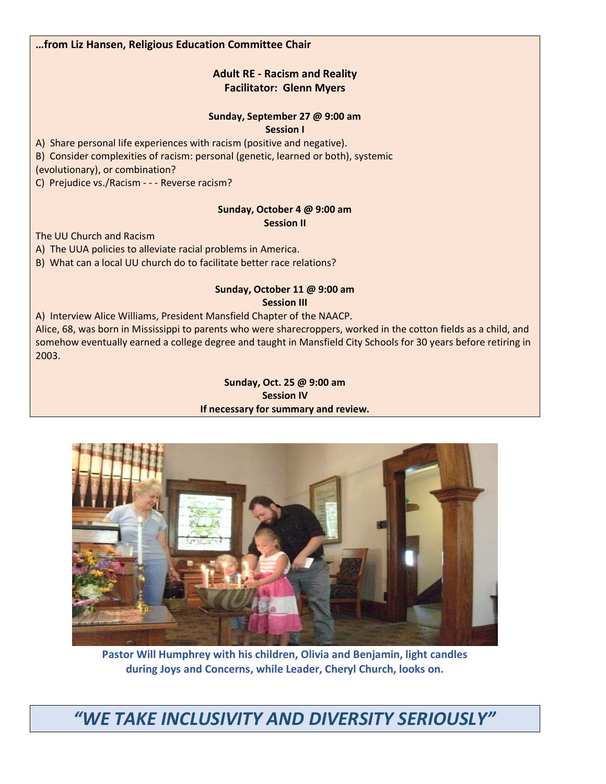**…from Liz Hansen, Religious Education Committee Chair**

#### **Adult RE - Racism and Reality Facilitator: Glenn Myers**

#### **Sunday, September 27 @ 9:00 am**

**Session I**

A) Share personal life experiences with racism (positive and negative).

B) Consider complexities of racism: personal (genetic, learned or both), systemic

(evolutionary), or combination?

C) Prejudice vs./Racism - - - Reverse racism?

#### **Sunday, October 4 @ 9:00 am Session II**

The UU Church and Racism

A) The UUA policies to alleviate racial problems in America.

B) What can a local UU church do to facilitate better race relations?

#### **Sunday, October 11 @ 9:00 am Session III**

A) Interview Alice Williams, President Mansfield Chapter of the NAACP. Alice, 68, was born in Mississippi to parents who were sharecroppers, worked in the cotton fields as a child, and somehow eventually earned a college degree and taught in Mansfield City Schools for 30 years before retiring in 2003.

#### **Sunday, Oct. 25 @ 9:00 am Session IV If necessary for summary and review.**



**Pastor Will Humphrey with his children, Olivia and Benjamin, light candles during Joys and Concerns, while Leader, Cheryl Church, looks on.**

*"WE TAKE INCLUSIVITY AND DIVERSITY SERIOUSLY"*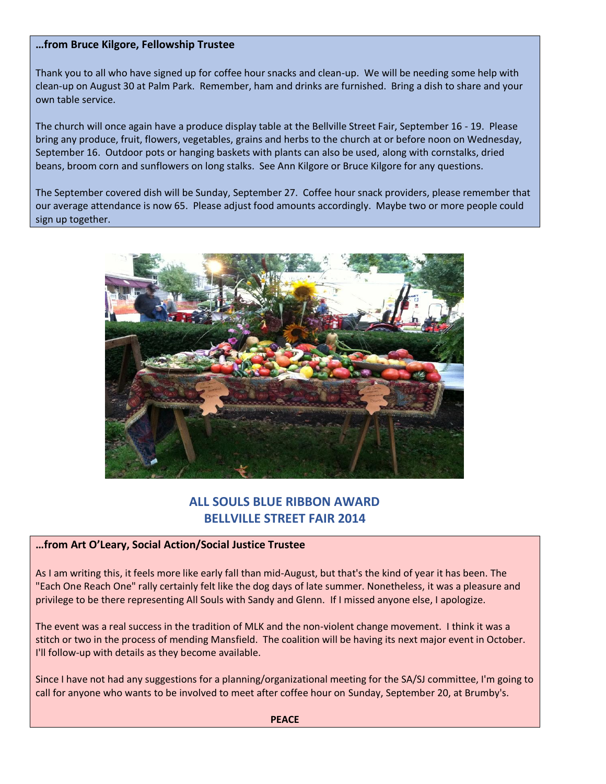#### **…from Bruce Kilgore, Fellowship Trustee**

Thank you to all who have signed up for coffee hour snacks and clean-up. We will be needing some help with clean-up on August 30 at Palm Park. Remember, ham and drinks are furnished. Bring a dish to share and your own table service.

The church will once again have a produce display table at the Bellville Street Fair, September 16 - 19. Please bring any produce, fruit, flowers, vegetables, grains and herbs to the church at or before noon on Wednesday, September 16. Outdoor pots or hanging baskets with plants can also be used, along with cornstalks, dried beans, broom corn and sunflowers on long stalks. See Ann Kilgore or Bruce Kilgore for any questions.

The September covered dish will be Sunday, September 27. Coffee hour snack providers, please remember that our average attendance is now 65. Please adjust food amounts accordingly. Maybe two or more people could sign up together.



#### **ALL SOULS BLUE RIBBON AWARD BELLVILLE STREET FAIR 2014**

#### **…from Art O'Leary, Social Action/Social Justice Trustee**

As I am writing this, it feels more like early fall than mid-August, but that's the kind of year it has been. The "Each One Reach One" rally certainly felt like the dog days of late summer. Nonetheless, it was a pleasure and privilege to be there representing All Souls with Sandy and Glenn. If I missed anyone else, I apologize.

The event was a real success in the tradition of MLK and the non-violent change movement. I think it was a stitch or two in the process of mending Mansfield. The coalition will be having its next major event in October. I'll follow-up with details as they become available.

Since I have not had any suggestions for a planning/organizational meeting for the SA/SJ committee, I'm going to call for anyone who wants to be involved to meet after coffee hour on Sunday, September 20, at Brumby's.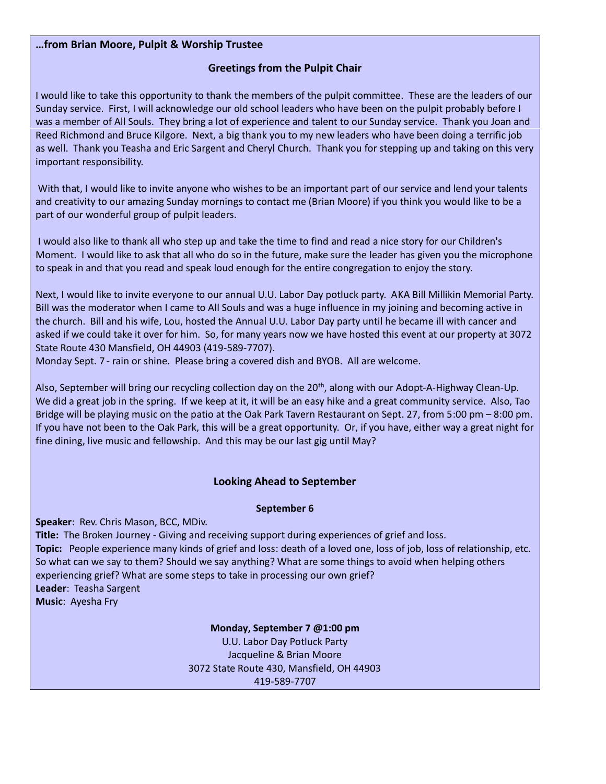#### **…from Brian Moore, Pulpit & Worship Trustee**

#### **Greetings from the Pulpit Chair**

I would like to take this opportunity to thank the members of the pulpit committee. These are the leaders of our Sunday service. First, I will acknowledge our old school leaders who have been on the pulpit probably before I was a member of All Souls. They bring a lot of experience and talent to our Sunday service. Thank you Joan and Reed Richmond and Bruce Kilgore. Next, a big thank you to my new leaders who have been doing a terrific job as well. Thank you Teasha and Eric Sargent and Cheryl Church. Thank you for stepping up and taking on this very important responsibility.

With that, I would like to invite anyone who wishes to be an important part of our service and lend your talents and creativity to our amazing Sunday mornings to contact me (Brian Moore) if you think you would like to be a part of our wonderful group of pulpit leaders.

I would also like to thank all who step up and take the time to find and read a nice story for our Children's Moment. I would like to ask that all who do so in the future, make sure the leader has given you the microphone to speak in and that you read and speak loud enough for the entire congregation to enjoy the story.

Next, I would like to invite everyone to our annual U.U. Labor Day potluck party. AKA Bill Millikin Memorial Party. Bill was the moderator when I came to All Souls and was a huge influence in my joining and becoming active in the church. Bill and his wife, Lou, hosted the Annual U.U. Labor Day party until he became ill with cancer and asked if we could take it over for him. So, for many years now we have hosted this event at our property at 3072 State Route 430 Mansfield, OH 44903 (419-589-7707).

Monday Sept. 7 - rain or shine. Please bring a covered dish and BYOB. All are welcome.

Also, September will bring our recycling collection day on the 20<sup>th</sup>, along with our Adopt-A-Highway Clean-Up. We did a great job in the spring. If we keep at it, it will be an easy hike and a great community service. Also, Tao Bridge will be playing music on the patio at the Oak Park Tavern Restaurant on Sept. 27, from 5:00 pm – 8:00 pm. If you have not been to the Oak Park, this will be a great opportunity. Or, if you have, either way a great night for fine dining, live music and fellowship. And this may be our last gig until May?

#### **Looking Ahead to September**

#### **September 6**

**Speaker**: Rev. Chris Mason, BCC, MDiv.

**Title:** The Broken Journey - Giving and receiving support during experiences of grief and loss. **Topic:** People experience many kinds of grief and loss: death of a loved one, loss of job, loss of relationship, etc. So what can we say to them? Should we say anything? What are some things to avoid when helping others experiencing grief? What are some steps to take in processing our own grief? **Leader**: Teasha Sargent **Music**: Ayesha Fry

> **Monday, September 7 @1:00 pm** U.U. Labor Day Potluck Party Jacqueline & Brian Moore 3072 State Route 430, Mansfield, OH 44903 419-589-7707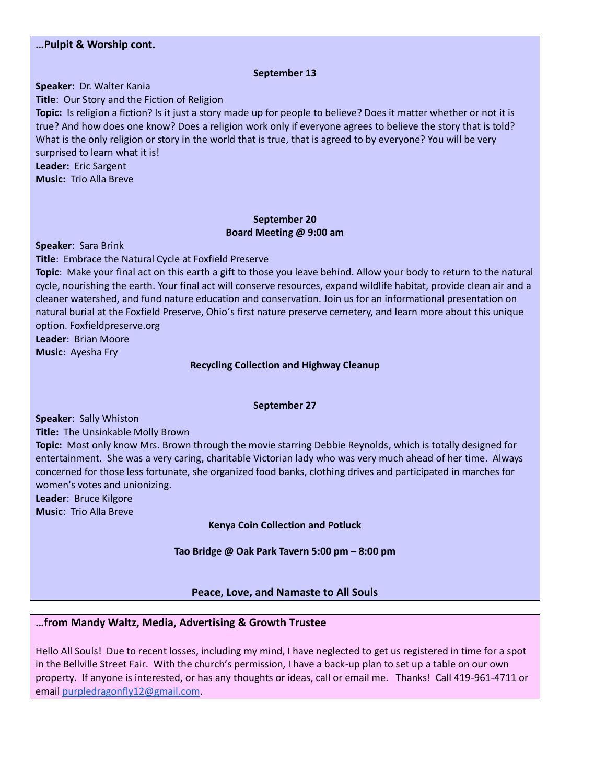#### **…Pulpit & Worship cont. September 13 Speaker:** Dr. Walter Kania **Title**: Our Story and the Fiction of Religion **Topic:** Is religion a fiction? Is it just a story made up for people to believe? Does it matter whether or not it is true? And how does one know? Does a religion work only if everyone agrees to believe the story that is told? What is the only religion or story in the world that is true, that is agreed to by everyone? You will be very surprised to learn what it is! **Leader:** Eric Sargent **Music:** Trio Alla Breve **September 20 Board Meeting @ 9:00 am Speaker**: Sara Brink **Title**: Embrace the Natural Cycle at Foxfield Preserve **Topic**: Make your final act on this earth a gift to those you leave behind. Allow your body to return to the natural cycle, nourishing the earth. Your final act will conserve resources, expand wildlife habitat, provide clean air and a cleaner watershed, and fund nature education and conservation. Join us for an informational presentation on natural burial at the Foxfield Preserve, Ohio's first nature preserve cemetery, and learn more about this unique option. Foxfieldpreserve.org **Leader**: Brian Moore **Music**: Ayesha Fry **Recycling Collection and Highway Cleanup September 27 Speaker**: Sally Whiston **Title:** The Unsinkable Molly Brown **Topic:** Most only know Mrs. Brown through the movie starring Debbie Reynolds, which is totally designed for entertainment. She was a very caring, charitable Victorian lady who was very much ahead of her time. Always concerned for those less fortunate, she organized food banks, clothing drives and participated in marches for women's votes and unionizing. **Leader**: Bruce Kilgore **Music**: Trio Alla Breve **Kenya Coin Collection and Potluck**

**Tao Bridge @ Oak Park Tavern 5:00 pm – 8:00 pm**

#### **Peace, Love, and Namaste to All Souls**

#### **…from Mandy Waltz, Media, Advertising & Growth Trustee**

Hello All Souls! Due to recent losses, including my mind, I have neglected to get us registered in time for a spot in the Bellville Street Fair. With the church's permission, I have a back-up plan to set up a table on our own property. If anyone is interested, or has any thoughts or ideas, call or email me. Thanks! Call 419-961-4711 or email [purpledragonfly12@gmail.com.](mailto:purpledragonfly12@gmail.com)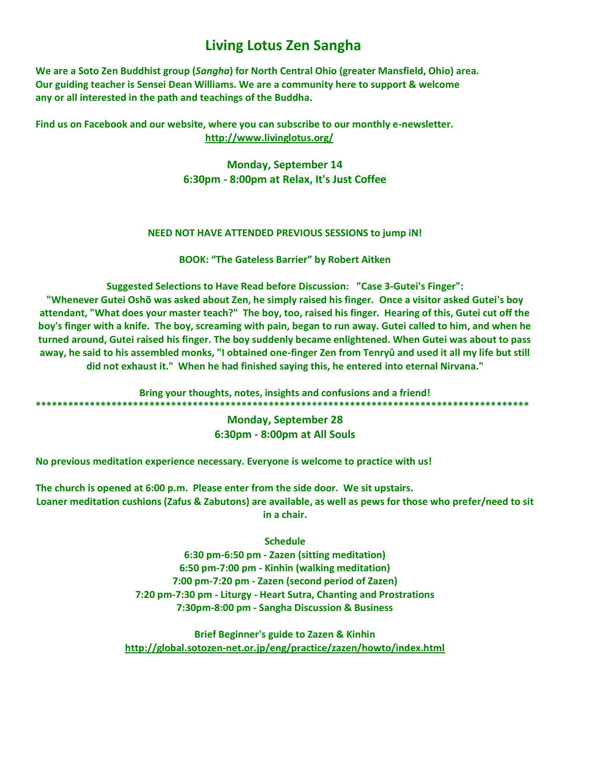### **Living Lotus Zen Sangha**

**We are a [Soto Zen Buddhist](https://sites.google.com/site/livinglotuszensangha/our-lineage-teacher) group (***Sangha***) for North Central Ohio (greater Mansfield, Ohio) area. Our [guiding teacher is Sensei Dean Williams.](https://sites.google.com/site/livinglotuszensangha/our-lineage-teacher) We are a community here to support & welcome any or all interested in the path and teachings of the Buddha.**

**Find us on Facebook and our website, where you can subscribe to our monthly e-newsletter. <http://www.livinglotus.org/>**

> **[Monday, September 14](https://www.facebook.com/events/calendar?adjusted_ts=1442214000&open_popup_on_init=1) 6:30pm - 8:00pm at [Relax, It's Just Coffee](https://www.facebook.com/RelaxItsJustCoffee)**

#### **NEED NOT HAVE ATTENDED PREVIOUS SESSIONS to jump iN!**

**BOOK: "The Gateless Barrier" by Robert Aitken**

**Suggested Selections to Have Read before Discussion: "Case 3-Gutei's Finger":**

**"Whenever Gutei Oshõ was asked about Zen, he simply raised his finger. Once a visitor asked Gutei's boy attendant, "What does your master teach?" The boy, too, raised his finger. Hearing of this, Gutei cut off the boy's finger with a knife. The boy, screaming with pain, began to run away. Gutei called to him, and when he turned around, Gutei raised his finger. The boy suddenly became enlightened. When Gutei was about to pass away, he said to his assembled monks, "I obtained one-finger Zen from Tenryû and used it all my life but still did not exhaust it." When he had finished saying this, he entered into eternal Nirvana."**

**Bring your thoughts, notes, insights and confusions and a friend! \*\*\*\*\*\*\*\*\*\*\*\*\*\*\*\*\*\*\*\*\*\*\*\*\*\*\*\*\*\*\*\*\*\*\*\*\*\*\*\*\*\*\*\*\*\*\*\*\*\*\*\*\*\*\*\*\*\*\*\*\*\*\*\*\*\*\*\*\*\*\*\*\*\*\*\*\*\*\*\*\*\*\*\*\*\*\*\*\*\*\***

#### **Monday, September 28 6:30pm - 8:00pm at All Souls**

**No previous meditation experience necessary. Everyone is welcome to practice with us!**

**The church is opened at 6:00 p.m. Please enter from the side door. We sit upstairs. Loaner meditation cushions (Zafus & Zabutons) are available, as well as pews for those who prefer/need to sit in a chair.**

**Schedule**

**6:30 pm-6:50 pm - Zazen (sitting meditation) 6:50 pm-7:00 pm - Kinhin (walking meditation) 7:00 pm-7:20 pm - Zazen (second period of Zazen) 7:20 pm-7:30 pm - Liturgy - Heart Sutra, Chanting and Prostrations 7:30pm-8:00 pm - Sangha Discussion & Business**

**Brief Beginner's guide to Zazen & Kinhin <http://global.sotozen-net.or.jp/eng/practice/zazen/howto/index.html>**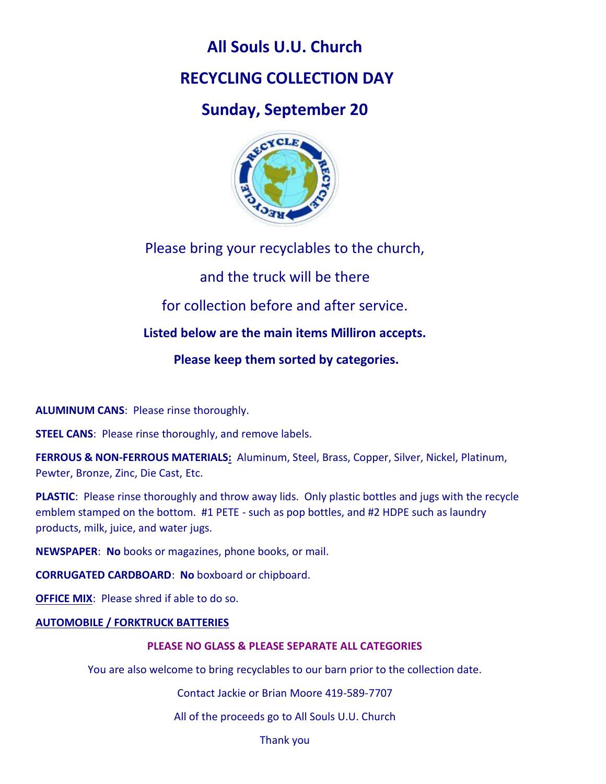## **All Souls U.U. Church**

## **RECYCLING COLLECTION DAY**

## **Sunday, September 20**



Please bring your recyclables to the church,

and the truck will be there

for collection before and after service.

**Listed below are the main items Milliron accepts.**

**Please keep them sorted by categories.**

**ALUMINUM CANS**: Please rinse thoroughly.

**STEEL CANS:** Please rinse thoroughly, and remove labels.

**FERROUS & NON-FERROUS MATERIALS:** Aluminum, Steel, Brass, Copper, Silver, Nickel, Platinum, Pewter, Bronze, Zinc, Die Cast, Etc.

**PLASTIC**: Please rinse thoroughly and throw away lids. Only plastic bottles and jugs with the recycle emblem stamped on the bottom. #1 PETE - such as pop bottles, and #2 HDPE such as laundry products, milk, juice, and water jugs.

**NEWSPAPER**: **No** books or magazines, phone books, or mail.

**CORRUGATED CARDBOARD**: **No** boxboard or chipboard.

**OFFICE MIX:** Please shred if able to do so.

#### **AUTOMOBILE / FORKTRUCK BATTERIES**

#### **PLEASE NO GLASS & PLEASE SEPARATE ALL CATEGORIES**

You are also welcome to bring recyclables to our barn prior to the collection date.

Contact Jackie or Brian Moore 419-589-7707

All of the proceeds go to All Souls U.U. Church

Thank you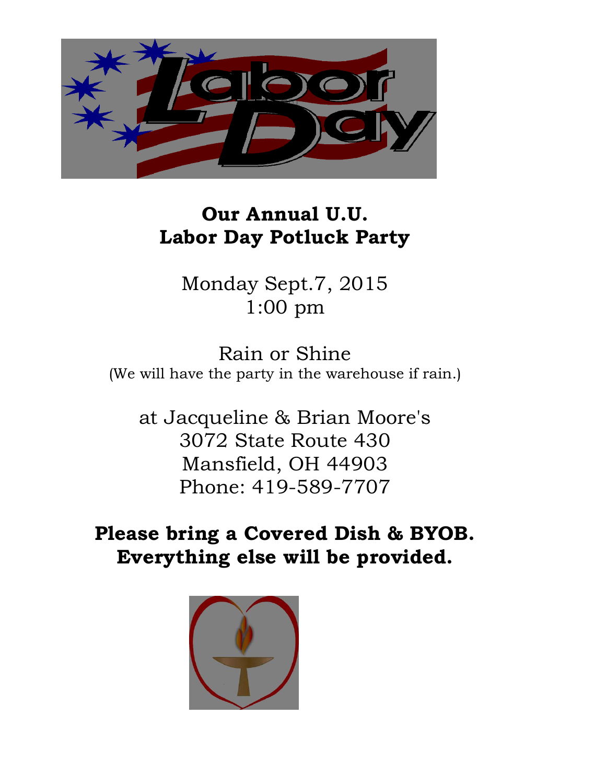

## **Our Annual U.U. Labor Day Potluck Party**

Monday Sept.7, 2015 1:00 pm

Rain or Shine (We will have the party in the warehouse if rain.)

at Jacqueline & Brian Moore's 3072 State Route 430 Mansfield, OH 44903 Phone: 419-589-7707

**Please bring a Covered Dish & BYOB. Everything else will be provided.**